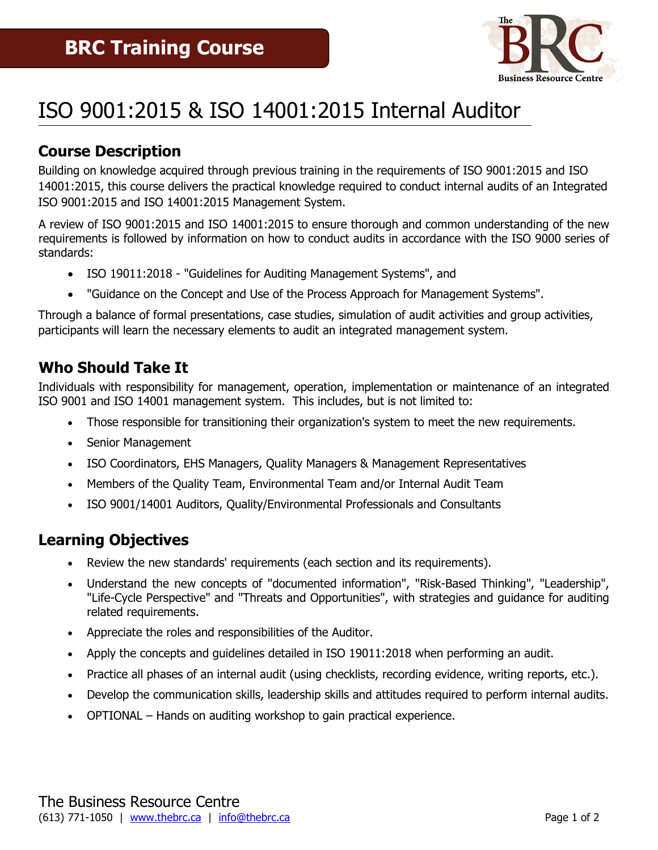

# ISO 9001:2015 & ISO 14001:2015 Internal Auditor

## **Course Description**

Building on knowledge acquired through previous training in the requirements of ISO 9001:2015 and ISO 14001:2015, this course delivers the practical knowledge required to conduct internal audits of an Integrated ISO 9001:2015 and ISO 14001:2015 Management System.

A review of ISO 9001:2015 and ISO 14001:2015 to ensure thorough and common understanding of the new requirements is followed by information on how to conduct audits in accordance with the ISO 9000 series of standards:

- ISO 19011:2018 "Guidelines for Auditing Management Systems", and
- "Guidance on the Concept and Use of the Process Approach for Management Systems".

Through a balance of formal presentations, case studies, simulation of audit activities and group activities, participants will learn the necessary elements to audit an integrated management system.

### **Who Should Take It**

Individuals with responsibility for management, operation, implementation or maintenance of an integrated ISO 9001 and ISO 14001 management system. This includes, but is not limited to:

- Those responsible for transitioning their organization's system to meet the new requirements.
- Senior Management
- ISO Coordinators, EHS Managers, Quality Managers & Management Representatives
- Members of the Quality Team, Environmental Team and/or Internal Audit Team
- ISO 9001/14001 Auditors, Quality/Environmental Professionals and Consultants

#### **Learning Objectives**

- Review the new standards' requirements (each section and its requirements).
- Understand the new concepts of "documented information", "Risk-Based Thinking", "Leadership", "Life-Cycle Perspective" and "Threats and Opportunities", with strategies and guidance for auditing related requirements.
- Appreciate the roles and responsibilities of the Auditor.
- Apply the concepts and guidelines detailed in ISO 19011:2018 when performing an audit.
- Practice all phases of an internal audit (using checklists, recording evidence, writing reports, etc.).
- Develop the communication skills, leadership skills and attitudes required to perform internal audits.
- OPTIONAL Hands on auditing workshop to gain practical experience.